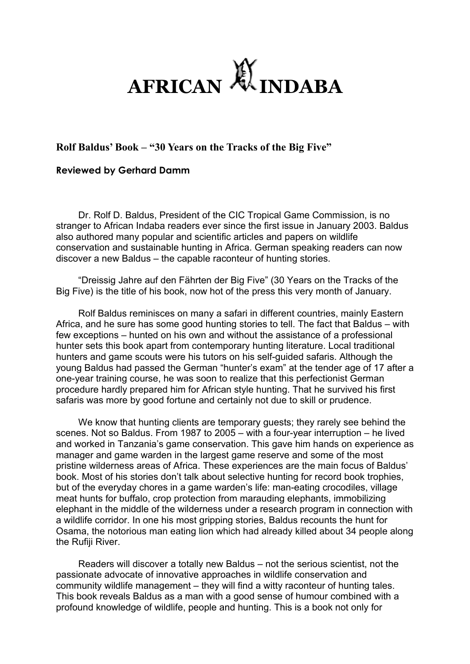

## **Rolf Baldus' Book – "30 Years on the Tracks of the Big Five"**

## **Reviewed by Gerhard Damm**

Dr. Rolf D. Baldus, President of the CIC Tropical Game Commission, is no stranger to African Indaba readers ever since the first issue in January 2003. Baldus also authored many popular and scientific articles and papers on wildlife conservation and sustainable hunting in Africa. German speaking readers can now discover a new Baldus – the capable raconteur of hunting stories.

"Dreissig Jahre auf den Fährten der Big Five" (30 Years on the Tracks of the Big Five) is the title of his book, now hot of the press this very month of January.

Rolf Baldus reminisces on many a safari in different countries, mainly Eastern Africa, and he sure has some good hunting stories to tell. The fact that Baldus – with few exceptions – hunted on his own and without the assistance of a professional hunter sets this book apart from contemporary hunting literature. Local traditional hunters and game scouts were his tutors on his self-guided safaris. Although the young Baldus had passed the German "hunter's exam" at the tender age of 17 after a one-year training course, he was soon to realize that this perfectionist German procedure hardly prepared him for African style hunting. That he survived his first safaris was more by good fortune and certainly not due to skill or prudence.

We know that hunting clients are temporary guests; they rarely see behind the scenes. Not so Baldus. From 1987 to 2005 – with a four-year interruption – he lived and worked in Tanzania's game conservation. This gave him hands on experience as manager and game warden in the largest game reserve and some of the most pristine wilderness areas of Africa. These experiences are the main focus of Baldus' book. Most of his stories don't talk about selective hunting for record book trophies, but of the everyday chores in a game warden's life: man-eating crocodiles, village meat hunts for buffalo, crop protection from marauding elephants, immobilizing elephant in the middle of the wilderness under a research program in connection with a wildlife corridor. In one his most gripping stories, Baldus recounts the hunt for Osama, the notorious man eating lion which had already killed about 34 people along the Rufiji River.

Readers will discover a totally new Baldus – not the serious scientist, not the passionate advocate of innovative approaches in wildlife conservation and community wildlife management – they will find a witty raconteur of hunting tales. This book reveals Baldus as a man with a good sense of humour combined with a profound knowledge of wildlife, people and hunting. This is a book not only for